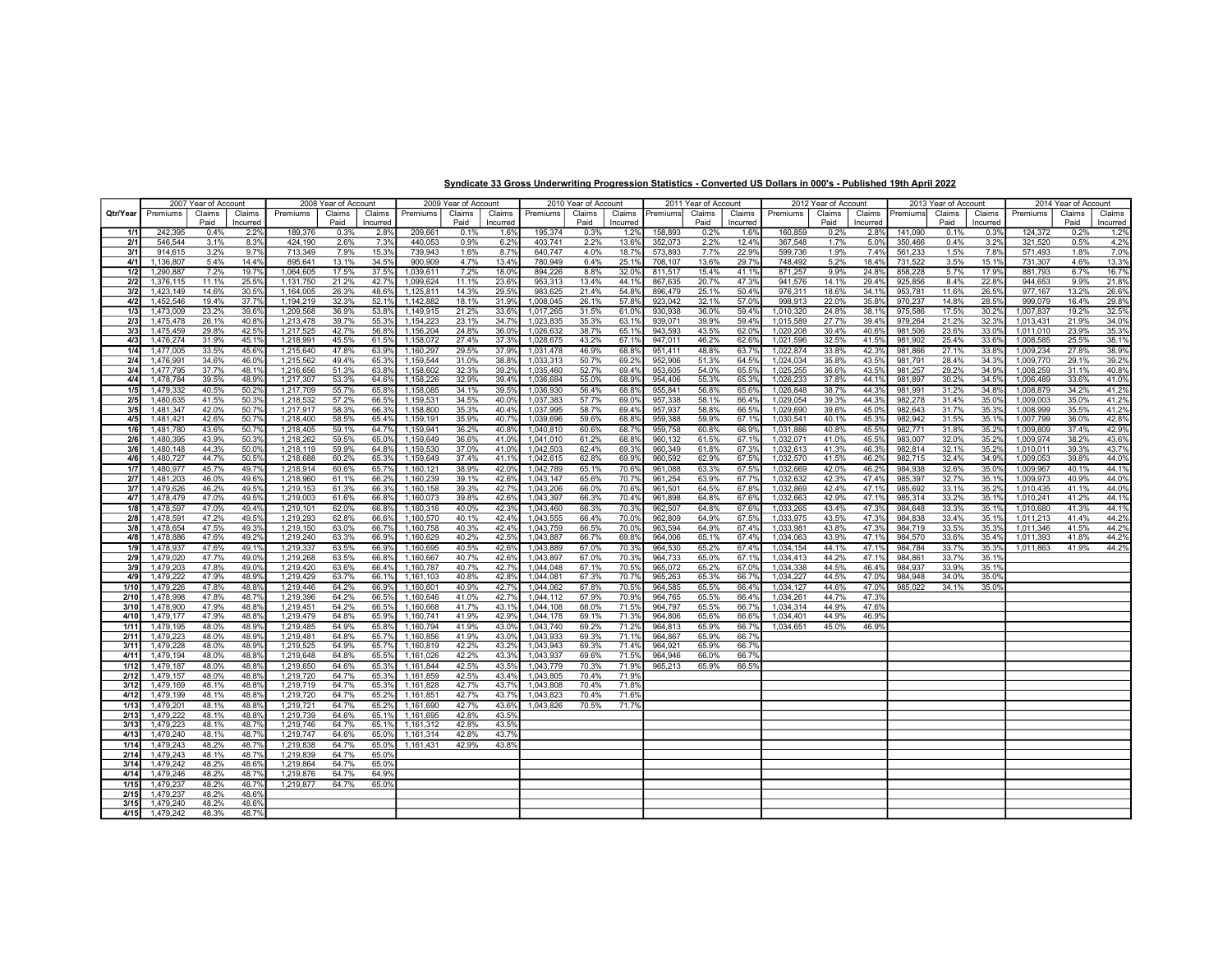## Syndicate 33 Gross Underwriting Progression Statistics - Converted US Dollars in 000's - Published 19th April 2022

|              | 2007 Year of Account   |                | 2008 Year of Account |                        |                | 2009 Year of Account |                        |                | 2010 Year of Account |                        |                | 2011 Year of Account |                    |                |                | 2012 Year of Account   |                | 2013 Year of Account |                    |                | 2014 Year of Account |                        |                |                |
|--------------|------------------------|----------------|----------------------|------------------------|----------------|----------------------|------------------------|----------------|----------------------|------------------------|----------------|----------------------|--------------------|----------------|----------------|------------------------|----------------|----------------------|--------------------|----------------|----------------------|------------------------|----------------|----------------|
| Qtr/Year     | Premiums               | Claims         | Claims               | Premiums               | Claims         | Claims               | Premiums               | Claims         | Claims               | Premiums               | Claims         | Claims               | Premiums           | Claims         | Claims         | Premiums               | Claims         | Claims               | Premiums           | Claims         | Claims               | Premiums               | Claims         | Claims         |
|              |                        | Paid           | Incurred             |                        | Paid           | Incurred             |                        | Paid           | Incurred             |                        | Paid           | Incurred             |                    | Paid           | Incurred       |                        | Paid           | Incurred             |                    | Paid           | Incurred             |                        | Paid           | Incurred       |
| 1/1          | 242,395                | 0.4%           | 2.2%                 | 189,376                | 0.3%           | 2.8%                 | 209,661                | 0.1%           | 1.6%                 | 195,374                | 0.3%           | 1.2%                 | 158,893            | 0.2%           | 1.6%           | 160,859                | 0.2%           | 2.8%                 | 141,090            | 0.1%           | 0.3%                 | 124,372                | 0.2%           | 1.2%           |
| 2/1          | 546,544                | 3.1%           | 8.3%                 | 424,190                | 2.6%           | 7.3%                 | 440,053                | 0.9%           | 6.2%                 | 403,741                | 2.2%           | 13.6%                | 352,073            | 2.2%           | 12.4%          | 367,548                | 1.7%           | 5.0%                 | 350,466            | 0.4%           | 3.2%                 | 321,520                | 0.5%           | 4.2%           |
| 3/1          | 914,615                | 3.2%           | 9.7%                 | 713,349                | 7.9%           | 15.3%                | 739,943                | 1.6%           | 8.7%                 | 640,747                | 4.0%           | 18.7%                | 573,893            | 7.7%           | 22.9%          | 599,736                | 1.9%           | 7.4%                 | 561,233            | 1.5%           | 7.8%                 | 571,493                | 1.8%           | 7.0%           |
| 4/1          | 1,136,807              | 5.4%           | 14.4%                | 895,641                | 13.1%          | 34.5%                | 900,909                | 4.7%           | 13.4%                | 780,949                | 6.4%           | 25.1%                | 708,107            | 13.6%          | 29.7%          | 748,492                | 5.2%           | 18.4%                | 731,522            | 3.5%           | 15.19                | 731,307                | 4.6%           | 13.3%          |
| 1/2          | 1,290,887              | 7.2%           | 19.7%                | 1,064,605              | 17.5%          | 37.5%                | 1,039,611              | 7.2%           | 18.0%                | 894,226                | 8.8%           | 32.09                | 811,517            | 15.4%          | 41.1%          | 871,257                | 9.9%           | 24.8%                | 858,228            | 5.7%           | 17.9%                | 881,793                | 6.7%           | 16.7%          |
| 2/2          | 1,376,115              | 11.1%          | 25.5%                | 1,131,750              | 21.2%          | 42.7%                | 1,099,624              | 11.1%          | 23.6%                | 953,313                | 13.4%          | 44.19                | 867,635            | 20.7%          | 47.3%          | 941,576                | 14.1%          | 29.4%                | 925,856            | 8.4%           | 22.8%                | 944,653                | 9.9%           | 21.8%          |
| 3/2          | 1,423,149              | 14.6%          | 30.5%                | 1,164,005              | 26.3%          | 48.6%                | 1,125,811              | 14.3%          | 29.5%                | 983,625                | 21.4%          | 54.8%                | 896,479            | 25.1%          | 50.4%          | 976,311                | 18.6%          | 34.1%                | 953,781            | 11.6%          | 26.5%                | 977,167                | 13.2%          | 26.6%          |
| 4/2          | 1,452,546              | 19.4%          | 37.7%                | 1,194,219              | 32.3%          | 52.1%                | 1,142,882              | 18.1%          | 31.9%                | 1,008,045              | 26.1%          | 57.8%                | 923,042            | 32.1%          | 57.0%          | 998,913                | 22.0%          | 35.8%                | 970,237            | 14.8%          | 28.5%                | 999,079                | 16.4%          | 29.8%          |
| 1/3          | 1,473,009              | 23.2%          | 39.6%                | 1,209,568              | 36.9%          | 53.8%                | 1,149,915              | 21.2%          | 33.6%                | 1,017,265              | 31.5%          | 61.0%                | 930,938            | 36.0%          | 59.4%          | 1,010,320              | 24.8%          | 38.1%                | 975,586            | 17.5%          | 30.2%                | 1,007,837              | 19.2%          | 32.5%          |
| 2/3          | 1,475,478              | 26.1%          | 40.8%                | 1,213,478              | 39.7%          | 55.3%                | 1,154,223              | 23.1%          | 34.7%                | 1,023,835              | 35.3%          | 63.19                | 939,071            | 39.9%          | 59.4%          | 1,015,589              | 27.7%          | 39.4%                | 979,264            | 21.2%          | 32.3%                | 1,013,431              | 21.9%          | 34.0%          |
| 3/3          | 1,475,459              | 29.8%          | 42.5%                | 1,217,525              | 42.7%          | 56.8%                | 1,156,204              | 24.8%          | 36.0%                | 1,026,632              | 38.7%          | 65.19                | 943,593            | 43.5%          | 62.0%          | 1,020,208              | 30.4%          | 40.6%                | 981,506            | 23.6%          | 33.0%                | 1,011,010              | 23.9%          | 35.3%          |
| 4/3          | 1,476,274              | 31.9%          | 45.1%                | 1,218,991              | 45.5%          | 61.5%                | 1,158,072              | 27.4%          | 37.3%                | 1,028,675              | 43.2%          | 67.19                | 947,011            | 46.2%          | 62.6%          | 1,021,596              | 32.5%          | 41.5%                | 981,902            | 25.4%          | 33.6%                | 1,008,585              | 25.5%          | 38.1%          |
| 1/4          | 1,477,005              | 33.5%          | 45.6%                | 1,215,640              | 47.8%          | 63.9%                | 1,160,297              | 29.5%          | 37.9%                | 1,031,478              | 46.9%          | 68.89                | 951,411            | 48.8%          | 63.7%          | 1,022,874              | 33.8%          | 42.3%                | 981,866            | 27.1%          | 33.8%                | 1,009,234              | 27.8%          | 38.9%          |
| 2/4          | 1,476,991              | 34.6%          | 46.0%                | 1,215,562              | 49.4%          | 65.3%                | 1,159,544              | 31.0%          | 38.8%                | 1,033,313              | 50.7%          | 69.29                | 952,906            | 51.3%          | 64.5%          | 1,024,034              | 35.8%          | 43.5%                | 981,791            | 28.4%          | 34.3%                | 1,009,770              | 29.1%          | 39.2%          |
| 3/4<br>4/4   | 1.477.795              | 37.7%<br>39.5% | 48.1%<br>48.9%       | 1,216,656              | 51.3%          | 63.8%                | 1,158,602              | 32.3%          | 39.2%<br>39.4%       | 1,035,460              | 52.7%<br>55.0% | 69.4%<br>68.99       | 953,605<br>954,406 | 54.0%          | 65.5%          | 1,025,255              | 36.6%<br>37.8% | 43.5%                | 981,257<br>981,897 | 29.2%<br>30.2% | 34.9%<br>34.5%       | 1,008,259              | 31.1%<br>33.6% | 40.8%          |
|              | 1,478,784              |                |                      | 1,217,307              | 53.3%          | 64.6%                | 1,158,226              | 32.9%          |                      | 1,036,684              |                |                      |                    | 55.3%          | 65.3%          | 1,026,233              |                | 44.1%                |                    |                |                      | 1,006,489              |                | 41.0%<br>41.2% |
| 1/5<br>2/5   | 1,479,332              | 40.5%<br>41.5% | 50.2%                | 1,217,709              | 55.7%          | 65.8%                | 1,158,085              | 34.1%          | 39.5%<br>40.0%       | 1,036,930              | 56.4%          | 68.89                | 955,841            | 56.8%          | 65.6%<br>66.4% | 1,026,848              | 38.7%<br>39.3% | 44.3%<br>44.3%       | 981,991<br>982,278 | 31.2%<br>31.4% | 34.8%                | 1,008,879              | 34.2%<br>35.0% |                |
| 3/5          | 1,480,635<br>1,481,347 | 42.0%          | 50.3%<br>50.7%       | 1,218,532<br>1,217,917 | 57.2%<br>58.3% | 66.5%<br>66.3%       | 1,159,531<br>1,158,800 | 34.5%<br>35.3% | 40.4%                | 1,037,383<br>1,037,995 | 57.7%<br>58.7% | 69.0%<br>69.4%       | 957,338<br>957,937 | 58.1%<br>58.8% | 66.5%          | 1,029,054<br>1,029,690 | 39.6%          | 45.0%                | 982,643            | 31.7%          | 35.0%<br>35.3%       | 1,009,003<br>1,008,999 | 35.5%          | 41.2%<br>41.2% |
| 4/5          | 1,481,421              | 42.6%          | 50.7%                | 1,218,400              | 58.5%          | 65.4%                | 1,159,191              | 35.9%          | 40.7%                | 1,039,696              | 59.6%          | 68.8%                | 959,388            | 59.9%          | 67.1%          | 1,030,541              | 40.1%          | 45.3%                | 982,942            | 31.5%          | 35.1%                | 1,007,799              | 36.0%          | 42.8%          |
| 1/6          | 1,481,780              | 43.6%          | 50.7%                | 1,218,405              | 59.1%          | 64.7%                | 1,159,941              | 36.2%          | 40.8%                | 1,040,810              | 60.6%          | 68.7%                | 959,758            | 60.8%          | 66.9%          | 1,031,886              | 40.8%          | 45.5%                | 982,771            | 31.8%          | 35.2%                | 1,009,809              | 37.4%          | 42.9%          |
| 2/6          | 1,480,395              | 43.9%          | 50.3%                | 1,218,262              | 59.5%          | 65.0%                | 1,159,649              | 36.6%          | 41.0%                | 1,041,010              | 61.2%          | 68.8%                | 960,132            | 61.5%          | 67.1%          | 1,032,071              | 41.0%          | 45.5%                | 983,007            | 32.0%          | 35.2%                | 1,009,974              | 38.2%          | 43.6%          |
| 3/6          | 1,480,148              | 44.3%          | 50.0%                | 1,218,119              | 59.9%          | 64.8%                | 1,159,530              | 37.0%          | 41.0%                | 1,042,503              | 62.4%          | 69.3%                | 960,349            | 61.8%          | 67.3%          | 1,032,613              | 41.3%          | 46.3%                | 982,814            | 32.1%          | 35.2%                | 1,010,011              | 39.3%          | 43.7%          |
| 4/6          | 1,480,727              | 44.7%          | 50.5%                | 1,218,688              | 60.2%          | 65.39                | 1,159,649              | 37.4%          | 41.1%                | 1,042,615              | 62.8%          | 69.9%                | 960,592            | 62.9%          | 67.5%          | 1,032,570              | 41.5%          | 46.2%                | 982,715            | 32.4%          | 34.9%                | 1,009,053              | 39.8%          | 44.0%          |
| 1/7          | 1,480,977              | 45.7%          | 49.7%                | 1,218,914              | 60.6%          | 65.7%                | 1,160,121              | 38.9%          | 42.0%                | 1,042,789              | 65.1%          | 70.6%                | 961,088            | 63.3%          | 67.5%          | 1,032,669              | 42.0%          | 46.2%                | 984,938            | 32.6%          | 35.0%                | 1,009,967              | 40.1%          | 44.1%          |
| 2/7          | 1,481,203              | 46.0%          | 49.6%                | 1,218,960              | 61.1%          | 66.2%                | 1,160,239              | 39.1%          | 42.6%                | 1,043,147              | 65.6%          | 70.7%                | 961,254            | 63.9%          | 67.7%          | 1,032,632              | 42.3%          | 47.4%                | 985,397            | 32.7%          | 35.1%                | 1,009,973              | 40.9%          | 44.0%          |
| 3/7          | 1,479,626              | 46.2%          | 49.5%                | 1,219,153              | 61.3%          | 66.3%                | 1,160,158              | 39.3%          | 42.7%                | 1,043,206              | 66.0%          | 70.6%                | 961,501            | 64.5%          | 67.8%          | 1,032,869              | 42.4%          | 47.1%                | 985,692            | 33.1%          | 35.2%                | 1,010,435              | 41.1%          | 44.0%          |
| 4/7          | 1,478,479              | 47.0%          | 49.5%                | 1,219,003              | 61.6%          | 66.8%                | 1,160,073              | 39.8%          | 42.6%                | 1,043,397              | 66.3%          | 70.4%                | 961,898            | 64.8%          | 67.6%          | 1,032,663              | 42.9%          | 47.1%                | 985,314            | 33.2%          | 35.1%                | 1,010,241              | 41.2%          | 44.1%          |
| 1/8          | 1,478,597              | 47.0%          | 49.4%                | 1,219,101              | 62.0%          | 66.89                | 1,160,316              | 40.0%          | 42.3%                | 1,043,460              | 66.3%          | 70.39                | 962,507            | 64.8%          | 67.6%          | 1,033,265              | 43.4%          | 47.3%                | 984,648            | 33.3%          | 35.1%                | 1,010,680              | 41.3%          | 44.1%          |
| 2/8          | 1,478,591              | 47.2%          | 49.5%                | 1,219,293              | 62.8%          | 66.6%                | 1,160,570              | 40.1%          | 42.4%                | 1,043,555              | 66.4%          | 70.0%                | 962,809            | 64.9%          | 67.5%          | 1,033,975              | 43.5%          | 47.3%                | 984,838            | 33.4%          | 35.19                | 1,011,213              | 41.4%          | 44.2%          |
| 3/8          | 1,478,654              | 47.5%          | 49.3%                | 1,219,150              | 63.0%          | 66.7%                | 1,160,758              | 40.3%          | 42.4%                | 1,043,759              | 66.5%          | 70.0%                | 963,594            | 64.9%          | 67.4%          | 1,033,981              | 43.8%          | 47.3%                | 984,719            | 33.5%          | 35.3%                | 1,011,346              | 41.5%          | 44.2%          |
| 4/8          | 1,478,886              | 47.6%          | 49.2%                | 1,219,240              | 63.3%          | 66.9%                | 1,160,629              | 40.2%          | 42.5%                | 1,043,887              | 66.7%          | 69.8%                | 964,006            | 65.1%          | 67.4%          | 1,034,063              | 43.9%          | 47.1%                | 984,570            | 33.6%          | 35.4%                | 1,011,393              | 41.8%          | 44.2%          |
| 1/9          | 1,478,937              | 47.6%          | 49.1%                | 1,219,337              | 63.5%          | 66.9%                | 1,160,695              | 40.5%          | 42.6%                | 1,043,889              | 67.0%          | 70.3%                | 964,530            | 65.2%          | 67.4%          | 1,034,154              | 44.1%          | 47.1%                | 984,784            | 33.7%          | 35.3%                | 1,011,863              | 41.9%          | 44.2%          |
| 2/9          | 1,479,020              | 47.7%          | 49.0%                | 1,219,268              | 63.5%          | 66.89                | 1,160,667              | 40.7%          | 42.6%                | 1,043,897              | 67.0%          | 70.3%                | 964,733            | 65.0%          | 67.1%          | 1,034,413              | 44.2%          | 47.1%                | 984,861            | 33.7%          | 35.19                |                        |                |                |
| 3/9          | 1,479,203              | 47.8%          | 49.0%                | 1,219,420              | 63.6%          | 66.4%                | 1,160,787              | 40.7%          | 42.7%                | 1,044,048              | 67.1%          | 70.5%                | 965,072            | 65.2%          | 67.0%          | 1,034,338              | 44.5%          | 46.4%                | 984,937            | 33.9%          | 35.19                |                        |                |                |
| 4/9          | 1,479,222              | 47.9%          | 48.9%                | 1,219,429              | 63.7%          | 66.1%                | 1,161,103              | 40.8%          | 42.8%                | 1,044,081              | 67.3%          | 70.7%                | 965,263            | 65.3%          | 66.7%          | 1,034,227              | 44.5%          | 47.0%                | 984,948            | 34.0%          | 35.0%                |                        |                |                |
| 1/10<br>2/10 | 1,479,226              | 47.8%<br>47.8% | 48.8%<br>48.7%       | 1,219,446<br>1,219,396 | 64.2%          | 66.9%                | 1,160,601              | 40.9%          | 42.7%<br>42.7%       | 1,044,062<br>1,044,112 | 67.8%<br>67.9% | 70.5%<br>70.9%       | 964,585<br>964,765 | 65.5%          | 66.4%          | 1,034,127              | 44.6%<br>44.7% | 47.0%<br>47.3%       | 985,022            | 34.1%          | 35.0%                |                        |                |                |
| 3/10         | 1,478,998<br>1,478,900 | 47.9%          | 48.8%                | 1,219,451              | 64.2%<br>64.2% | 66.5%<br>66.5%       | 1,160,646<br>1,160,668 | 41.0%<br>41.7% | 43.1%                | 1,044,108              | 68.0%          | 71.5%                | 964,797            | 65.5%<br>65.5% | 66.4%<br>66.7% | 1,034,261<br>1,034,314 | 44.9%          | 47.6%                |                    |                |                      |                        |                |                |
| 4/10         | 1,479,177              | 47.9%          | 48.8%                | 1,219,479              | 64.8%          | 65.9%                | 1,160,741              | 41.9%          | 42.9%                | 1,044,178              | 69.1%          | 71.3%                | 964,806            | 65.6%          | 66.6%          | 1,034,401              | 44.9%          | 46.9%                |                    |                |                      |                        |                |                |
| 1/11         | 1,479,195              | 48.0%          | 48.9%                | 1,219,485              | 64.9%          | 65.8%                | 1,160,794              | 41.9%          | 43.0%                | 1,043,740              | 69.2%          | 71.2%                | 964,813            | 65.9%          | 66.7%          | 1,034,651              | 45.0%          | 46.9%                |                    |                |                      |                        |                |                |
| 2/11         | 1,479,223              | 48.0%          | 48.9%                | 1,219,481              | 64.8%          | 65.7%                | 1,160,856              | 41.9%          | 43.0%                | 1,043,933              | 69.3%          | 71.1%                | 964,867            | 65.9%          | 66.7%          |                        |                |                      |                    |                |                      |                        |                |                |
| 3/11         | 1,479,228              | 48.0%          | 48.9%                | 1,219,525              | 64.9%          | 65.7%                | 1,160,819              | 42.2%          | 43.2%                | 1,043,943              | 69.3%          | 71.49                | 964,921            | 65.9%          | 66.7%          |                        |                |                      |                    |                |                      |                        |                |                |
| 4/11         | 1,479,194              | 48.0%          | 48.8%                | 1,219,648              | 64.8%          | 65.5%                | 1,161,026              | 42.2%          | 43.3%                | 1,043,937              | 69.6%          | 71.5%                | 964,946            | 66.0%          | 66.7%          |                        |                |                      |                    |                |                      |                        |                |                |
| 1/12         | 1,479,187              | 48.0%          | 48.8%                | 1,219,650              | 64.6%          | 65.3%                | 1,161,844              | 42.5%          | 43.5%                | 1,043,779              | 70.3%          | 71.9%                | 965.213            | 65.9%          | 66.5%          |                        |                |                      |                    |                |                      |                        |                |                |
| 2/12         | 1,479,157              | 48.0%          | 48.8%                | 1,219,720              | 64.7%          | 65.3%                | 1,161,859              | 42.5%          | 43.4%                | 1,043,805              | 70.4%          | 71.9%                |                    |                |                |                        |                |                      |                    |                |                      |                        |                |                |
| 3/12         | 1,479,169              | 48.1%          | 48.8%                | 1,219,719              | 64.7%          | 65.3%                | 1,161,828              | 42.7%          | 43.7%                | 1,043,808              | 70.4%          | 71.8%                |                    |                |                |                        |                |                      |                    |                |                      |                        |                |                |
| 4/12         | 1,479,199              | 48.1%          | 48.8%                | 1,219,720              | 64.7%          | 65.2%                | 1,161,851              | 42.7%          | 43.7%                | 1,043,823              | 70.4%          | 71.6%                |                    |                |                |                        |                |                      |                    |                |                      |                        |                |                |
| 1/13         | 1,479,201              | 48.1%          | 48.8%                | 1,219,721              | 64.7%          | 65.2%                | 1,161,690              | 42.7%          | 43.6%                | 1,043,826              | 70.5%          | 71.7%                |                    |                |                |                        |                |                      |                    |                |                      |                        |                |                |
| 2/13         | 1,479,222              | 48.1%          | 48.8%                | 1,219,739              | 64.6%          | 65.1%                | 1,161,695              | 42.8%          | 43.5%                |                        |                |                      |                    |                |                |                        |                |                      |                    |                |                      |                        |                |                |
| 3/13         | 1,479,223              | 48.1%          | 48.7%                | 1,219,746              | 64.7%          | 65.19                | 1,161,312              | 42.8%          | 43.5%                |                        |                |                      |                    |                |                |                        |                |                      |                    |                |                      |                        |                |                |
| 4/13         | 1,479,240              | 48.1%          | 48.7%                | 1,219,747              | 64.6%          | 65.0%                | 1,161,314              | 42.8%          | 43.7%                |                        |                |                      |                    |                |                |                        |                |                      |                    |                |                      |                        |                |                |
| 1/14         | 1,479,243              | 48.2%          | 48.7%                | 1.219.838              | 64.7%          | 65.0%                | 1,161,431              | 42.9%          | 43.8%                |                        |                |                      |                    |                |                |                        |                |                      |                    |                |                      |                        |                |                |
| 2/14         | 1,479,243              | 48.1%          | 48.7%                | 1,219,839              | 64.7%          | 65.0%                |                        |                |                      |                        |                |                      |                    |                |                |                        |                |                      |                    |                |                      |                        |                |                |
| 3/14         | 1,479,242              | 48.2%          | 48.6%                | 1,219,864              | 64.7%          | 65.0%                |                        |                |                      |                        |                |                      |                    |                |                |                        |                |                      |                    |                |                      |                        |                |                |
| 4/14         | 1,479,246              | 48.2%          | 48.7%                | 1,219,876              | 64.7%          | 64.9%                |                        |                |                      |                        |                |                      |                    |                |                |                        |                |                      |                    |                |                      |                        |                |                |
| 1/15         | 1,479,237              | 48.2%          | 48.7%                | 1,219,877              | 64.7%          | 65.0%                |                        |                |                      |                        |                |                      |                    |                |                |                        |                |                      |                    |                |                      |                        |                |                |
| 2/15<br>3/15 | 1,479,237              | 48.2%<br>48.2% | 48.6%                |                        |                |                      |                        |                |                      |                        |                |                      |                    |                |                |                        |                |                      |                    |                |                      |                        |                |                |
| 4/15         | 1,479,240<br>1,479,242 | 48.3%          | 48.6%<br>48.7%       |                        |                |                      |                        |                |                      |                        |                |                      |                    |                |                |                        |                |                      |                    |                |                      |                        |                |                |
|              |                        |                |                      |                        |                |                      |                        |                |                      |                        |                |                      |                    |                |                |                        |                |                      |                    |                |                      |                        |                |                |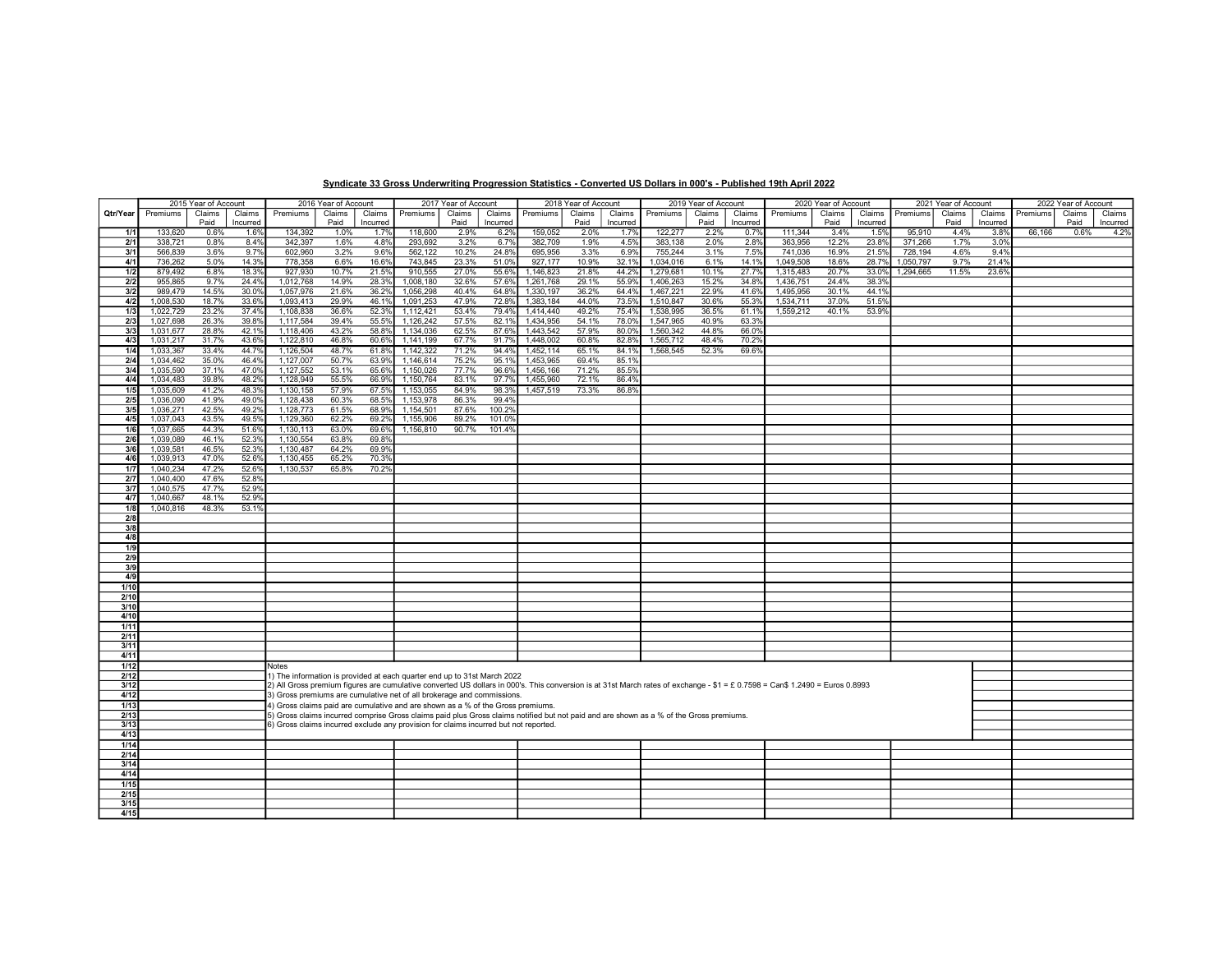## Syndicate 33 Gross Underwriting Progression Statistics - Converted US Dollars in 000's - Published 19th April 2022

|                  | 2015 Year of Account   |                                                                                                                                                                                                                            | 2016 Year of Account |                                                                          |                | 2017 Year of Account |                        |                | 2018 Year of Account |                        |                |                | 2019 Year of Account   |                | 2020 Year of Account |                                                                                                                                                                              |                | 2021 Year of Account |           |        | 2022 Year of Account |          |        |          |
|------------------|------------------------|----------------------------------------------------------------------------------------------------------------------------------------------------------------------------------------------------------------------------|----------------------|--------------------------------------------------------------------------|----------------|----------------------|------------------------|----------------|----------------------|------------------------|----------------|----------------|------------------------|----------------|----------------------|------------------------------------------------------------------------------------------------------------------------------------------------------------------------------|----------------|----------------------|-----------|--------|----------------------|----------|--------|----------|
| Qtr/Year         | Premiums               | Claims                                                                                                                                                                                                                     | Claims               | Premiums                                                                 | Claims         | Claims               | Premiums               | Claims         | Claims               | Premiums               | Claims         | Claims         | Premiums               | Claims         | Claims               | Premiums                                                                                                                                                                     | Claims         | Claims               | Premiums  | Claims | Claims               | Premiums | Claims | Claims   |
|                  |                        | Paid                                                                                                                                                                                                                       | Incurred             |                                                                          | Paid           | Incurred             |                        | Paid           | Incurred             |                        | Paid           | Incurred       |                        | Paid           | Incurred             |                                                                                                                                                                              | Paid           | Incurred             |           | Paid   | Incurred             |          | Paid   | Incurred |
| 1/1              | 133,620                | 0.6%                                                                                                                                                                                                                       | 1.6%                 | 134,392                                                                  | 1.0%           | 1.7%                 | 118,600                | 2.9%           | 6.2%                 | 159,052                | 2.0%           | 1.7%           | 122,277                | 2.2%           | 0.7%                 | 111,344                                                                                                                                                                      | 3.4%           | 1.5%                 | 95,910    | 4.4%   | 3.8%                 | 66,166   | 0.6%   | 4.2%     |
| 2/1              | 338,721                | 0.8%                                                                                                                                                                                                                       | 8.4%                 | 342,397                                                                  | 1.6%           | 4.8%                 | 293,692                | 3.2%           | 6.7%                 | 382,709                | 1.9%           | 4.5%           | 383,138                | 2.0%           | 2.8%                 | 363,956                                                                                                                                                                      | 12.2%          | 23.8%                | 371,266   | 1.7%   | 3.0%                 |          |        |          |
| 3/1              | 566,839                | 3.6%                                                                                                                                                                                                                       | 9.7%                 | 602,960                                                                  | 3.2%           | 9.6%                 | 562,122                | 10.2%          | 24.8%                | 695,956                | 3.3%           | 6.9%           | 755,244                | 3.1%           | 7.5%                 | 741,036                                                                                                                                                                      | 16.9%          | 21.5%                | 728,194   | 4.6%   | 9.4%                 |          |        |          |
| 4/1              | 736,262                | 5.0%                                                                                                                                                                                                                       | 14.3%                | 778,358                                                                  | 6.6%           | 16.6%                | 743,845                | 23.3%          | 51.0%                | 927,177                | 10.9%          | 32.1%          | 1,034,016              | 6.1%           | 14.1%                | 1,049,508                                                                                                                                                                    | 18.6%          | 28.7%                | 1,050,797 | 9.7%   | 21.4%                |          |        |          |
| 1/2<br>2/2       | 879,492<br>955,865     | 6.8%<br>9.7%                                                                                                                                                                                                               | 18.39<br>24.4%       | 927,930<br>1,012,768                                                     | 10.7%<br>14.9% | 21.5%<br>28.39       | 910,555<br>1,008,180   | 27.0%<br>32.6% | 55.6%<br>57.6%       | 1,146,823<br>1,261,768 | 21.8%<br>29.1% | 44.2%<br>55.9% | 1,279,681<br>1,406,263 | 10.1%<br>15.2% | 27.7%<br>34.8%       | 1,315,483<br>1,436,751                                                                                                                                                       | 20.7%<br>24.4% | 33.0%<br>38.39       | 1.294.665 | 11.5%  | 23.69                |          |        |          |
| 3/2              | 989,479                | 14.5%                                                                                                                                                                                                                      | 30.0%                | 1,057,976                                                                | 21.6%          | 36.2%                | 1,056,298              | 40.4%          | 64.8%                | 1,330,197              | 36.2%          | 64.4%          | 1,467,221              | 22.9%          | 41.6%                | 1,495,956                                                                                                                                                                    | 30.1%          | 44.1%                |           |        |                      |          |        |          |
| 4/2              | 1,008,530              | 18.7%                                                                                                                                                                                                                      | 33.6%                | 1,093,413                                                                | 29.9%          | 46.19                | 1,091,253              | 47.9%          | 72.8%                | 1,383,184              | 44.0%          | 73.5%          | 1,510,847              | 30.6%          | 55.3%                | 1,534,711                                                                                                                                                                    | 37.0%          | 51.5%                |           |        |                      |          |        |          |
| 1/3              | 1,022,729              | 23.2%                                                                                                                                                                                                                      | 37.4%                | 1,108,838                                                                | 36.6%          | 52.39                | 1,112,421              | 53.4%          | 79.4%                | 1,414,440              | 49.2%          | 75.4%          | 1,538,995              | 36.5%          | 61.1%                | 1,559,212                                                                                                                                                                    | 40.1%          | 53.9%                |           |        |                      |          |        |          |
| 2/3              | 1,027,698              | 26.3%                                                                                                                                                                                                                      | 39.8%                | 1,117,584                                                                | 39.4%          | 55.5%                | 1,126,242              | 57.5%          | 82.1%                | 1,434,956              | 54.1%          | 78.0%          | 1,547,965              | 40.9%          | 63.3%                |                                                                                                                                                                              |                |                      |           |        |                      |          |        |          |
| 3/3              | 1,031,677              | 28.8%                                                                                                                                                                                                                      | 42.1%                | 1,118,406                                                                | 43.2%          | 58.8%                | 1,134,036              | 62.5%          | 87.6%                | 1,443,542              | 57.9%          | 80.0%          | 1,560,342              | 44.8%          | 66.0%                |                                                                                                                                                                              |                |                      |           |        |                      |          |        |          |
| 4/3              | 1,031,217              | 31.7%                                                                                                                                                                                                                      | 43.6%                | 1,122,810                                                                | 46.8%          | 60.6%                | 1,141,199              | 67.7%          | 91.7%                | 1,448,002              | 60.8%          | 82.8%          | 1,565,712              | 48.4%          | 70.2%                |                                                                                                                                                                              |                |                      |           |        |                      |          |        |          |
| $1/4$            | 1,033,367              | 33.4%                                                                                                                                                                                                                      | 44.7%                | 1,126,504                                                                | 48.7%          | 61.89                | 1,142,322              | 71.2%          | 94.4%                | 1,452,114              | 65.1%          | 84.1%          | 1,568,545              | 52.3%          | 69.6%                |                                                                                                                                                                              |                |                      |           |        |                      |          |        |          |
| 2/4              | 1,034,462              | 35.0%                                                                                                                                                                                                                      | 46.4%                | 1,127,007                                                                | 50.7%          | 63.99                | 1,146,614              | 75.2%          | 95.1%                | 1,453,965              | 69.4%          | 85.1%          |                        |                |                      |                                                                                                                                                                              |                |                      |           |        |                      |          |        |          |
| 3/4<br>4/4       | 1,035,590<br>1,034,483 | 37.1%<br>39.8%                                                                                                                                                                                                             | 47.0%<br>48.2%       | 1,127,552<br>1,128,949                                                   | 53.1%<br>55.5% | 65.6%<br>66.9%       | 1,150,026<br>1,150,764 | 77.7%<br>83.1% | 96.6%<br>97.7%       | 1,456,166<br>1,455,960 | 71.2%<br>72.1% | 85.5%<br>86.4% |                        |                |                      |                                                                                                                                                                              |                |                      |           |        |                      |          |        |          |
| 1/5              | 1,035,609              | 41.2%                                                                                                                                                                                                                      | 48.3%                | 1,130,158                                                                | 57.9%          | 67.5%                | 1,153,055              | 84.9%          | 98.3%                | 1.457.519              | 73.3%          | 86.8%          |                        |                |                      |                                                                                                                                                                              |                |                      |           |        |                      |          |        |          |
| 2/5              | 1,036,090              | 41.9%                                                                                                                                                                                                                      | 49.0%                | 1,128,438                                                                | 60.3%          | 68.5%                | 1,153,978              | 86.3%          | 99.4%                |                        |                |                |                        |                |                      |                                                                                                                                                                              |                |                      |           |        |                      |          |        |          |
| 3/5              | 1.036.271              | 42.5%                                                                                                                                                                                                                      | 49.2%                | 1,128,773                                                                | 61.5%          | 68.9%                | 1,154,501              | 87.6%          | 100.2%               |                        |                |                |                        |                |                      |                                                                                                                                                                              |                |                      |           |        |                      |          |        |          |
| 4/5              | 1,037,043              | 43.5%                                                                                                                                                                                                                      | 49.5%                | 1,129,360                                                                | 62.2%          | 69.2%                | 1,155,906              | 89.2%          | 101.0%               |                        |                |                |                        |                |                      |                                                                                                                                                                              |                |                      |           |        |                      |          |        |          |
| 1/6              | 1,037,665              | 44.3%                                                                                                                                                                                                                      | 51.6%                | 1,130,113                                                                | 63.0%          | 69.6%                | 1,156,810              | 90.7%          | 101.4%               |                        |                |                |                        |                |                      |                                                                                                                                                                              |                |                      |           |        |                      |          |        |          |
| 2/6              | 1,039,089              | 46.1%                                                                                                                                                                                                                      | 52.3%                | 1,130,554                                                                | 63.8%          | 69.8%                |                        |                |                      |                        |                |                |                        |                |                      |                                                                                                                                                                              |                |                      |           |        |                      |          |        |          |
| 3/6<br>4/6       | 1,039,581              | 46.5%                                                                                                                                                                                                                      | 52.3%                | 1,130,487                                                                | 64.2%          | 69.9%                |                        |                |                      |                        |                |                |                        |                |                      |                                                                                                                                                                              |                |                      |           |        |                      |          |        |          |
| 1/7              | 1,039,913<br>1,040,234 | 47.0%<br>47.2%                                                                                                                                                                                                             | 52.6%<br>52.6%       | 1,130,455<br>1,130,537                                                   | 65.2%<br>65.8% | 70.3%<br>70.2%       |                        |                |                      |                        |                |                |                        |                |                      |                                                                                                                                                                              |                |                      |           |        |                      |          |        |          |
| 2/7              | 1,040,400              | 47.6%                                                                                                                                                                                                                      | 52.8%                |                                                                          |                |                      |                        |                |                      |                        |                |                |                        |                |                      |                                                                                                                                                                              |                |                      |           |        |                      |          |        |          |
| 3/7              | 1,040,575              | 47.7%                                                                                                                                                                                                                      | 52.9%                |                                                                          |                |                      |                        |                |                      |                        |                |                |                        |                |                      |                                                                                                                                                                              |                |                      |           |        |                      |          |        |          |
| 4/7              | 1,040,667              | 48.1%                                                                                                                                                                                                                      | 52.9%                |                                                                          |                |                      |                        |                |                      |                        |                |                |                        |                |                      |                                                                                                                                                                              |                |                      |           |        |                      |          |        |          |
| 1/8              | 1,040,816              | 48.3%                                                                                                                                                                                                                      | 53.1%                |                                                                          |                |                      |                        |                |                      |                        |                |                |                        |                |                      |                                                                                                                                                                              |                |                      |           |        |                      |          |        |          |
| $\overline{2/8}$ |                        |                                                                                                                                                                                                                            |                      |                                                                          |                |                      |                        |                |                      |                        |                |                |                        |                |                      |                                                                                                                                                                              |                |                      |           |        |                      |          |        |          |
| 3/8<br>4/8       |                        |                                                                                                                                                                                                                            |                      |                                                                          |                |                      |                        |                |                      |                        |                |                |                        |                |                      |                                                                                                                                                                              |                |                      |           |        |                      |          |        |          |
| 1/9              |                        |                                                                                                                                                                                                                            |                      |                                                                          |                |                      |                        |                |                      |                        |                |                |                        |                |                      |                                                                                                                                                                              |                |                      |           |        |                      |          |        |          |
| 2/9              |                        |                                                                                                                                                                                                                            |                      |                                                                          |                |                      |                        |                |                      |                        |                |                |                        |                |                      |                                                                                                                                                                              |                |                      |           |        |                      |          |        |          |
| 3/9              |                        |                                                                                                                                                                                                                            |                      |                                                                          |                |                      |                        |                |                      |                        |                |                |                        |                |                      |                                                                                                                                                                              |                |                      |           |        |                      |          |        |          |
| 4/9              |                        |                                                                                                                                                                                                                            |                      |                                                                          |                |                      |                        |                |                      |                        |                |                |                        |                |                      |                                                                                                                                                                              |                |                      |           |        |                      |          |        |          |
| 1/10             |                        |                                                                                                                                                                                                                            |                      |                                                                          |                |                      |                        |                |                      |                        |                |                |                        |                |                      |                                                                                                                                                                              |                |                      |           |        |                      |          |        |          |
| 2/10<br>3/10     |                        |                                                                                                                                                                                                                            |                      |                                                                          |                |                      |                        |                |                      |                        |                |                |                        |                |                      |                                                                                                                                                                              |                |                      |           |        |                      |          |        |          |
| 4/10             |                        |                                                                                                                                                                                                                            |                      |                                                                          |                |                      |                        |                |                      |                        |                |                |                        |                |                      |                                                                                                                                                                              |                |                      |           |        |                      |          |        |          |
| 1/11             |                        |                                                                                                                                                                                                                            |                      |                                                                          |                |                      |                        |                |                      |                        |                |                |                        |                |                      |                                                                                                                                                                              |                |                      |           |        |                      |          |        |          |
| 2/11             |                        |                                                                                                                                                                                                                            |                      |                                                                          |                |                      |                        |                |                      |                        |                |                |                        |                |                      |                                                                                                                                                                              |                |                      |           |        |                      |          |        |          |
| 3/11             |                        |                                                                                                                                                                                                                            |                      |                                                                          |                |                      |                        |                |                      |                        |                |                |                        |                |                      |                                                                                                                                                                              |                |                      |           |        |                      |          |        |          |
| 4/11             |                        |                                                                                                                                                                                                                            |                      |                                                                          |                |                      |                        |                |                      |                        |                |                |                        |                |                      |                                                                                                                                                                              |                |                      |           |        |                      |          |        |          |
| 1/12             |                        |                                                                                                                                                                                                                            |                      | <b>Notes</b>                                                             |                |                      |                        |                |                      |                        |                |                |                        |                |                      |                                                                                                                                                                              |                |                      |           |        |                      |          |        |          |
| 2/12<br>3/12     |                        |                                                                                                                                                                                                                            |                      | 1) The information is provided at each quarter end up to 31st March 2022 |                |                      |                        |                |                      |                        |                |                |                        |                |                      | 2) All Gross premium figures are cumulative converted US dollars in 000's. This conversion is at 31st March rates of exchange - \$1 = £ 0.7598 = Can\$ 1.2490 = Euros 0.8993 |                |                      |           |        |                      |          |        |          |
| 4/12             |                        |                                                                                                                                                                                                                            |                      | 3) Gross premiums are cumulative net of all brokerage and commissions.   |                |                      |                        |                |                      |                        |                |                |                        |                |                      |                                                                                                                                                                              |                |                      |           |        |                      |          |        |          |
| 1/13             |                        |                                                                                                                                                                                                                            |                      |                                                                          |                |                      |                        |                |                      |                        |                |                |                        |                |                      |                                                                                                                                                                              |                |                      |           |        |                      |          |        |          |
| 2/13             |                        | 4) Gross claims paid are cumulative and are shown as a % of the Gross premiums.<br>5) Gross claims incurred comprise Gross claims paid plus Gross claims notified but not paid and are shown as a % of the Gross premiums. |                      |                                                                          |                |                      |                        |                |                      |                        |                |                |                        |                |                      |                                                                                                                                                                              |                |                      |           |        |                      |          |        |          |
| 3/13             |                        | 6) Gross claims incurred exclude any provision for claims incurred but not reported.                                                                                                                                       |                      |                                                                          |                |                      |                        |                |                      |                        |                |                |                        |                |                      |                                                                                                                                                                              |                |                      |           |        |                      |          |        |          |
| 4/13             |                        |                                                                                                                                                                                                                            |                      |                                                                          |                |                      |                        |                |                      |                        |                |                |                        |                |                      |                                                                                                                                                                              |                |                      |           |        |                      |          |        |          |
| 1/14             |                        |                                                                                                                                                                                                                            |                      |                                                                          |                |                      |                        |                |                      |                        |                |                |                        |                |                      |                                                                                                                                                                              |                |                      |           |        |                      |          |        |          |
| 2/14<br>3/14     |                        |                                                                                                                                                                                                                            |                      |                                                                          |                |                      |                        |                |                      |                        |                |                |                        |                |                      |                                                                                                                                                                              |                |                      |           |        |                      |          |        |          |
| 4/14             |                        |                                                                                                                                                                                                                            |                      |                                                                          |                |                      |                        |                |                      |                        |                |                |                        |                |                      |                                                                                                                                                                              |                |                      |           |        |                      |          |        |          |
| 1/15             |                        |                                                                                                                                                                                                                            |                      |                                                                          |                |                      |                        |                |                      |                        |                |                |                        |                |                      |                                                                                                                                                                              |                |                      |           |        |                      |          |        |          |
| 2/15             |                        |                                                                                                                                                                                                                            |                      |                                                                          |                |                      |                        |                |                      |                        |                |                |                        |                |                      |                                                                                                                                                                              |                |                      |           |        |                      |          |        |          |
| 3/15             |                        |                                                                                                                                                                                                                            |                      |                                                                          |                |                      |                        |                |                      |                        |                |                |                        |                |                      |                                                                                                                                                                              |                |                      |           |        |                      |          |        |          |
| 4/15             |                        |                                                                                                                                                                                                                            |                      |                                                                          |                |                      |                        |                |                      |                        |                |                |                        |                |                      |                                                                                                                                                                              |                |                      |           |        |                      |          |        |          |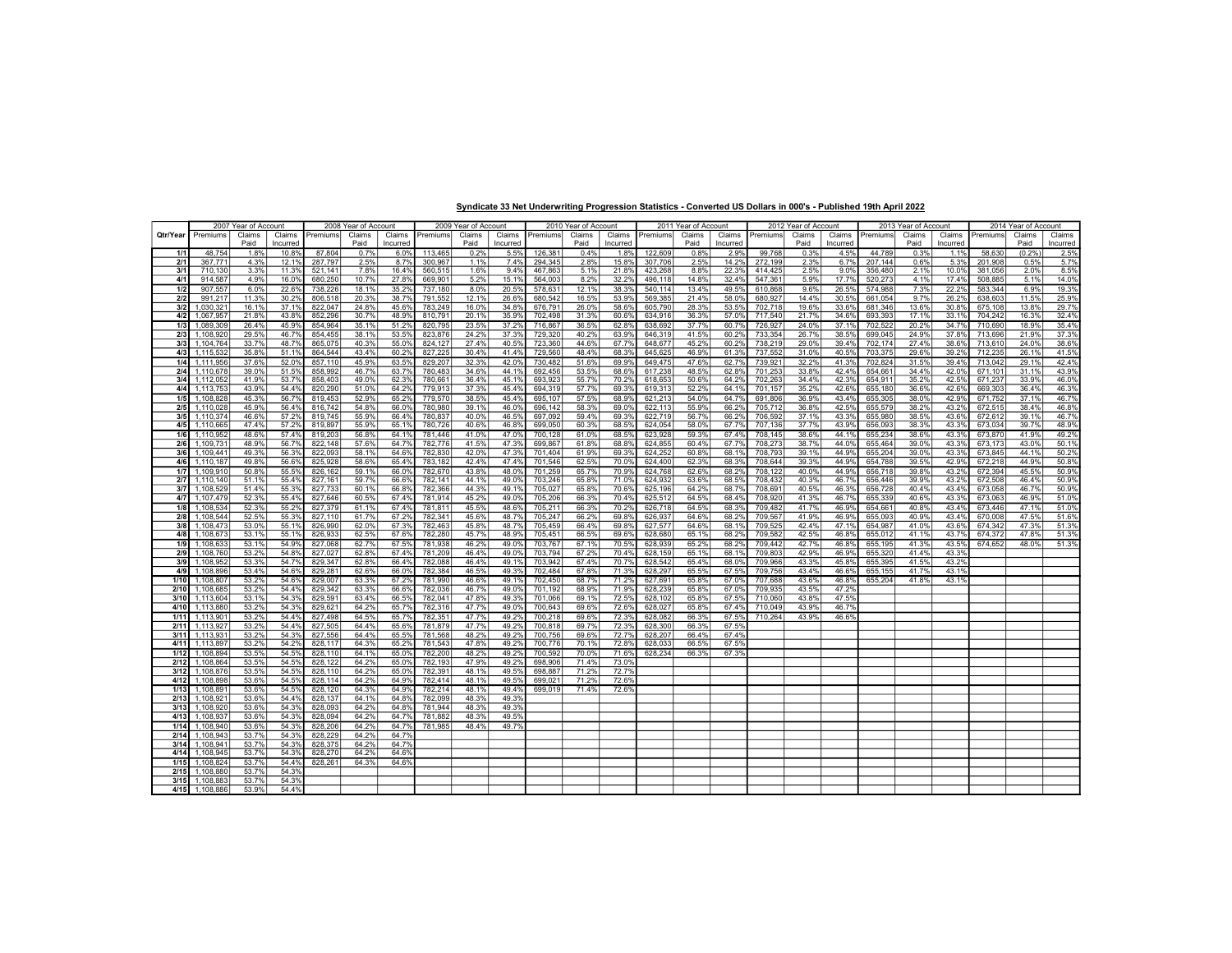## Syndicate 33 Net Underwriting Progression Statistics - Converted US Dollars in 000's - Published 19th April 2022

|          | 2007 Year of Account |        |          | 2008 Year of Account |        |          | 2009 Year of Account |        |          | 2010 Year of Account |        |          |          | 2011 Year of Account |          |          | 2012 Year of Account |          |          | 2013 Year of Account |          | 2014 Year of Account |        |          |
|----------|----------------------|--------|----------|----------------------|--------|----------|----------------------|--------|----------|----------------------|--------|----------|----------|----------------------|----------|----------|----------------------|----------|----------|----------------------|----------|----------------------|--------|----------|
| Qtr/Year | Premiums             | Claims | Claims   | Premiums             | Claims | Claims   | Premiums             | Claims | Claims   | Premiums             | Claims | Claims   | Premiums | Claims               | Claims   | Premiums | Claims               | Claims   | Premiums | Claims               | Claims   | Premiums             | Claims | Claims   |
|          |                      | Paid   | Incurred |                      | Paid   | Incurred |                      | Paid   | Incurred |                      | Paid   | Incurred |          | Paid                 | Incurred |          | Paid                 | Incurred |          | Paid                 | Incurred |                      | Paid   | Incurred |
|          |                      |        |          |                      |        |          |                      |        |          |                      |        |          |          |                      |          |          |                      |          |          |                      |          |                      |        |          |
| 1/1      | 48,754               | 1.8%   | 10.8%    | 87,804               | 0.7%   | 6.0%     | 113,465              | 0.2%   | 5.5%     | 126,381              | 0.4%   | 1.8%     | 122,609  | 0.8%                 | 2.9%     | 99,768   | 0.3%                 | 4.5%     | 44,789   | 0.3%                 | 1.1%     | 58,630               | (0.2%  | 2.5%     |
| 2/1      | 367.771              | 4.3%   | 12.1%    | 287.797              | 2.5%   | 8.7%     | 300,967              | 1.1%   | 7.4%     | 294,345              | 2.8%   | 15.8%    | 307.706  | 2.5%                 | 14.2%    | 272,199  | 2.3%                 | 6.7%     | 207.144  | 0.6%                 | 5.3%     | 201,908              | 0.5%   | 5.7%     |
| 3/1      | 710,130              | 3.3%   | 11.39    | 521,141              | 7.8%   | 16.4%    | 560,515              | 1.6%   | 9.4%     | 467,863              | 5.1%   | 21.8%    | 423,268  | 8.8%                 | 22.3%    | 414,425  | 2.5%                 | 9.0°     | 356,480  | 2.1%                 | 10.0%    | 381,056              | 2.0%   | 8.5%     |
| 4/1      | 914,587              | 4.9%   | 16.0%    | 680,250              | 10.7%  | 27.8%    | 669,901              | 5.2%   | 15.1%    | 564,003              | 8.2%   | 32.2%    | 496,118  | 14.8%                | 32.4%    | 547,361  | 5.9%                 | 17.7%    | 520,273  | 4.1%                 | 17.4%    | 508,885              | 5.1%   | 14.0%    |
| 1/2      | 907,557              | 6.0%   | 22.6%    | 738,226              | 18.1%  | 35.29    | 737,180              | 8.0%   | 20.5%    | 578,631              | 12.1%  | 38.3%    | 540,114  | 13.4%                | 49.5%    | 610,868  | 9.6%                 | 26.5%    | 574,988  | 7.3%                 | 22.29    | 583,344              | 6.9%   | 19.3%    |
| 2/2      | 991,217              | 11.3%  | 30.2%    | 806,518              | 20.3%  | 38.7%    | 791,552              | 12.1%  | 26.6%    | 680,542              | 16.5%  | 53.9%    | 569,385  | 21.4%                | 58.0%    | 680,927  | 14.4%                | 30.5%    | 661,054  | 9.7%                 | 26.2%    | 638,603              | 11.5%  | 25.9%    |
| 3/2      | 1,030,321            | 16.1%  | 37.1%    | 822,047              | 24.8%  | 45.6%    | 783,249              | 16.0%  | 34.8%    | 676,791              | 26.0%  | 58.6%    | 605,790  | 28.3%                | 53.5%    | 702,718  | 19.6%                | 33.6%    | 681,346  | 13.6%                | 30.8%    | 675,108              | 13.8%  | 29.7%    |
| 4/2      | 1,067,957            | 21.8%  | 43.8%    | 852,296              | 30.7%  | 48.9%    | 810,791              | 20.1%  | 35.9%    | 702,498              | 31.3%  | 60.6%    | 634,916  | 36.3%                | 57.0%    | 717,540  | 21.7%                | 34.6%    | 693,393  | 17.1%                | 33.1%    | 704,242              | 16.3%  | 32.4%    |
| 1/3      | 1,089,309            | 26.4%  | 45.9%    | 854,964              | 35.1%  | 51.2%    | 820,795              | 23.5%  | 37.2%    | 716,867              | 36.5%  | 62.8%    | 638,692  | 37.7%                | 60.7%    | 726,927  | 24.0%                | 37.1%    | 702,522  | 20.2%                | 34.7%    | 710,690              | 18.9%  | 35.4%    |
| 2/3      | 1,108,920            | 29.5%  | 46.7%    | 854,455              | 38.1%  | 53.5%    | 823,876              | 24.2%  | 37.3%    | 729,320              | 40.2%  | 63.9%    | 646,319  | 41.5%                | 60.2%    | 733,354  | 26.7%                | 38.5%    | 699,045  | 24.9%                | 37.8%    | 713,696              | 21.9%  | 37.3%    |
| 3/3      |                      | 33.7%  | 48.7%    |                      | 40.3%  | 55.0%    |                      | 27.4%  | 40.5%    |                      | 44.6%  | 67.7%    | 648,677  | 45.2%                | 60.2%    |          | 29.0%                | 39.4%    | 702,174  | 27.4%                | 38.6%    |                      | 24.0%  |          |
| 4/3      | 1,104,764            |        |          | 865,075              |        |          | 824,127              |        | 41.4%    | 723,360              |        |          |          |                      |          | 738,219  | 31.0%                |          |          |                      |          | 713,610              |        | 38.6%    |
|          | 1,115,532            | 35.8%  | 51.1%    | 864,544              | 43.4%  | 60.2%    | 827,225              | 30.4%  |          | 729,560              | 48.4%  | 68.3%    | 645,625  | 46.9%                | 61.3%    | 737,552  |                      | 40.5%    | 703,375  | 29.6%                | 39.2%    | 712,235              | 26.1%  | 41.5%    |
| 1/4      | 1,111,956            | 37.6%  | 52.09    | 857,110              | 45.9%  | 63.5%    | 829,207              | 32.3%  | 42.0%    | 730,482              | 51.6%  | 69.9%    | 649,475  | 47.6%                | 62.7%    | 739,921  | 32.2%                | 41.39    | 702.824  | 31.5%                | 39.4%    | 713,042              | 29.1%  | 42.4%    |
| 2/4      | 1,110,678            | 39.0%  | 51.5%    | 858,992              | 46.7%  | 63.7%    | 780,483              | 34.6%  | 44.1%    | 692,456              | 53.5%  | 68.6%    | 617,238  | 48.5%                | 62.8%    | 701,253  | 33.8%                | 42.4%    | 654,661  | 34.4%                | 42.0%    | 671,101              | 31.1%  | 43.9%    |
| 3/4      | 1,112,052            | 41.9%  | 53.7%    | 858,403              | 49.0%  | 62.3%    | 780,661              | 36.4%  | 45.1%    | 693,923              | 55.7%  | 70.2%    | 618,653  | 50.6%                | 64.2%    | 702,263  | 34.4%                | 42.3%    | 654,911  | 35.2%                | 42.5%    | 671,237              | 33.9%  | 46.0%    |
| 4/4      | 1,113,753            | 43.9%  | 54.49    | 820,290              | 51.0%  | 64.2%    | 779,913              | 37.3%  | 45.4%    | 694,319              | 57.7%  | 69.3%    | 619,313  | 52.2%                | 64.1%    | 701,157  | 35.2%                | 42.6%    | 655,180  | 36.6%                | 42.69    | 669,303              | 36.4%  | 46.3%    |
| 1/5      | 1,108,828            | 45.3%  | 56.79    | 819,453              | 52.9%  | 65.2%    | 779,570              | 38.5%  | 45.4%    | 695,107              | 57.5%  | 68.9%    | 621,213  | 54.0%                | 64.7%    | 691,806  | 36.9%                | 43.4%    | 655,305  | 38.0%                | 42.9%    | 671,752              | 37.1%  | 46.7%    |
| 2/5      | 1,110,028            | 45.9%  | 56.4%    | 816,742              | 54.8%  | 66.0%    | 780,980              | 39.1%  | 46.0%    | 696,142              | 58.3%  | 69.0%    | 622,113  | 55.9%                | 66.2%    | 705,712  | 36.8%                | 42.5%    | 655,579  | 38.2%                | 43.2%    | 672,515              | 38.4%  | 46.8%    |
| 3/5      | 1,110,374            | 46.6%  | 57.2%    | 819,745              | 55.9%  | 66.4%    | 780,837              | 40.0%  | 46.5%    | 697,092              | 59.4%  | 69.3%    | 622,719  | 56.7%                | 66.2%    | 706,592  | 37.1%                | 43.3%    | 655,980  | 38.5%                | 43.6%    | 672,612              | 39.1%  | 46.7%    |
| 4/5      | 1,110,665            | 47.4%  | 57.29    | 819,897              | 55.9%  | 65.1%    | 780,726              | 40.6%  | 46.8%    | 699,050              | 60.3%  | 68.5%    | 624,054  | 58.0%                | 67.7%    | 707,136  | 37.7%                | 43.9%    | 656,093  | 38.3%                | 43.39    | 673,034              | 39.7%  | 48.9%    |
| 1/6      | 1,110,952            | 48.6%  | 57.4%    | 819,203              | 56.8%  | 64.1%    | 781,446              | 41.0%  | 47.0%    | 700,128              | 61.0%  | 68.5%    | 623,928  | 59.3%                | 67.4%    | 708,145  | 38.6%                | 44.1%    | 655,234  | 38.6%                | 43.39    | 673,870              | 41.9%  | 49.2%    |
| 2/6      | 1,109,731            | 48.9%  | 56.79    | 822,148              | 57.6%  | 64.7%    | 782,776              | 41.5%  | 47.3%    | 699,867              | 61.8%  | 68.8%    | 624,855  | 60.4%                | 67.7%    | 708,273  | 38.7%                | 44.0%    | 655,464  | 39.0%                | 43.39    | 673,173              | 43.0%  | 50.1%    |
| 3/6      | 1,109,441            | 49.3%  | 56.39    | 822,093              | 58.1%  | 64.6%    | 782,830              | 42.0%  | 47.3%    | 701,404              | 61.9%  | 69.3%    | 624,252  | 60.8%                | 68.1%    | 708,793  | 39.1%                | 44.9%    | 655,204  | 39.0%                | 43.3%    | 673,845              | 44.1%  | 50.2%    |
| 4/6      | 1,110,187            | 49.8%  | 56.69    | 825,928              | 58.6%  | 65.4%    | 783,182              | 42.4%  | 47.4%    | 701,546              | 62.5%  | 70.0%    | 624,400  | 62.3%                | 68.3%    | 708,644  | 39.3%                | 44.9%    | 654,788  | 39.5%                | 42.9%    | 672,218              | 44.9%  | 50.8%    |
| 1/7      | 1,109,910            | 50.8%  | 55.5%    | 826,162              | 59.1%  | 66.0%    | 782,670              | 43.8%  | 48.0%    | 701,259              | 65.7%  | 70.9%    | 624,768  | 62.6%                | 68.2%    | 708,122  | 40.0%                | 44.9%    | 656,718  | 39.8%                | 43.29    | 672,394              | 45.5%  | 50.9%    |
| 2/7      | 1,110,140            | 51.1%  | 55.49    | 827,161              | 59.7%  | 66.6%    | 782,141              | 44.1%  | 49.0%    | 703,246              | 65.8%  | 71.0%    | 624,932  | 63.6%                | 68.5%    | 708,432  | 40.3%                | 46.7%    | 656,446  | 39.9%                | 43.2%    | 672,508              | 46.4%  | 50.9%    |
| 3/7      | 1,108,529            | 51.4%  | 55.3%    | 827,733              | 60.1%  | 66.8%    | 782,366              | 44.3%  | 49.1%    | 705,027              | 65.8%  | 70.6%    | 625,196  | 64.2%                | 68.7%    | 708,691  | 40.5%                | 46.3%    | 656,728  | 40.4%                | 43.4%    | 673,058              | 46.7%  | 50.9%    |
| 4/7      | 1,107,479            | 52.3%  | 55.49    | 827,646              | 60.5%  | 67.4%    | 781,914              | 45.2%  | 49.0%    | 705,206              | 66.3%  | 70.4%    | 625,512  | 64.5%                | 68.4%    | 708,920  | 41.3%                | 46.7%    | 655,339  | 40.6%                | 43.3%    | 673,063              | 46.9%  | 51.0%    |
| 1/8      |                      |        | 55.2%    |                      |        | 67.4%    |                      | 45.5%  |          |                      |        |          |          | 64.5%                |          |          | 41.7%                | 46.9%    |          |                      |          |                      | 47.1%  | 51.0%    |
|          | 1,108,534            | 52.3%  |          | 827,379              | 61.1%  |          | 781,811              |        | 48.6%    | 705,211              | 66.3%  | 70.2%    | 626,718  |                      | 68.3%    | 709,482  |                      |          | 654,661  | 40.8%                | 43.4%    | 673,446              |        |          |
| 2/8      | 1,108,544            | 52.5%  | 55.39    | 827,110              | 61.7%  | 67.2%    | 782,341              | 45.6%  | 48.7%    | 705,247              | 66.2%  | 69.8%    | 626,937  | 64.6%                | 68.2%    | 709,567  | 41.9%                | 46.9%    | 655,093  | 40.9%                | 43.4%    | 670,008              | 47.5%  | 51.6%    |
| 3/8      | 1,108,473            | 53.0%  | 55.1%    | 826,990              | 62.0%  | 67.3%    | 782,463              | 45.8%  | 48.7%    | 705,459              | 66.4%  | 69.8%    | 627,577  | 64.6%                | 68.1%    | 709,525  | 42.4%                | 47.19    | 654,987  | 41.0%                | 43.6%    | 674,342              | 47.3%  | 51.3%    |
| 4/8      | 1,108,673            | 53.1%  | 55.1%    | 826,933              | 62.5%  | 67.6%    | 782,280              | 45.7%  | 48.9%    | 705,451              | 66.5%  | 69.6%    | 628,680  | 65.1%                | 68.2%    | 709,582  | 42.5%                | 46.8%    | 655,012  | 41.1%                | 43.7%    | 674,372              | 47.8%  | 51.3%    |
| 1/9      | 1,108,633            | 53.1%  | 54.99    | 827,068              | 62.7%  | 67.5%    | 781,938              | 46.2%  | 49.0%    | 703,767              | 67.1%  | 70.5%    | 628,939  | 65.2%                | 68.2%    | 709,442  | 42.7%                | 46.8%    | 655,195  | 41.3%                | 43.59    | 674,652              | 48.0%  | 51.3%    |
| 2/9      | 1,108,760            | 53.2%  | 54.89    | 827,027              | 62.8%  | 67.4%    | 781,209              | 46.4%  | 49.0%    | 703,794              | 67.2%  | 70.4%    | 628,159  | 65.1%                | 68.1%    | 709,803  | 42.9%                | 46.9%    | 655,320  | 41.4%                | 43.39    |                      |        |          |
| 3/9      | 1,108,952            | 53.3%  | 54.79    | 829,347              | 62.8%  | 66.4%    | 782,088              | 46.4%  | 49.1%    | 703,942              | 67.4%  | 70.7%    | 628,542  | 65.4%                | 68.0%    | 709,966  | 43.3%                | 45.8%    | 655,395  | 41.5%                | 43.29    |                      |        |          |
| 4/9      | 1,108,896            | 53.4%  | 54.69    | 829,281              | 62.6%  | 66.0%    | 782,384              | 46.5%  | 49.3%    | 702,484              | 67.8%  | 71.3%    | 628,297  | 65.5%                | 67.5%    | 709,756  | 43.4%                | 46.6%    | 655,155  | 41.7%                | 43.19    |                      |        |          |
| 1/10     | 1,108,807            | 53.2%  | 54.6%    | 829,007              | 63.3%  | 67.2%    | 781,990              | 46.6%  | 49.1%    | 702,450              | 68.7%  | 71.2%    | 627,691  | 65.8%                | 67.0%    | 707,688  | 43.6%                | 46.8%    | 655,204  | 41.8%                | 43.19    |                      |        |          |
| 2/10     | 1,108,685            | 53.2%  | 54.49    | 829,342              | 63.3%  | 66.6%    | 782,036              | 46.7%  | 49.0%    | 701,192              | 68.9%  | 71.9%    | 628,239  | 65.8%                | 67.0%    | 709,935  | 43.5%                | 47.2%    |          |                      |          |                      |        |          |
| 3/10     | 1,113,604            | 53.1%  | 54.39    | 829,591              | 63.4%  | 66.5%    | 782,041              | 47.8%  | 49.3%    | 701,066              | 69.1%  | 72.5%    | 628,102  | 65.8%                | 67.5%    | 710,060  | 43.8%                | 47.5%    |          |                      |          |                      |        |          |
| 4/10     | 1,113,880            | 53.2%  | 54.39    | 829,621              | 64.2%  | 65.7%    | 782,316              | 47.7%  | 49.0%    | 700,643              | 69.6%  | 72.6%    | 628,027  | 65.8%                | 67.4%    | 710,049  | 43.9%                | 46.7%    |          |                      |          |                      |        |          |
| 1/11     | 1,113,901            | 53.2%  | 54.4%    | 827,498              | 64.5%  | 65.7%    | 782,351              | 47.7%  | 49.2%    | 700,218              | 69.6%  | 72.3%    | 628,082  | 66.3%                | 67.5%    | 710,264  | 43.9%                | 46.6%    |          |                      |          |                      |        |          |
| 2/11     | 1,113,927            | 53.2%  | 54.4%    | 827,505              | 64.4%  | 65.6%    | 781,879              | 47.7%  | 49.2%    | 700,818              | 69.7%  | 72.3%    | 628,300  | 66.3%                | 67.5%    |          |                      |          |          |                      |          |                      |        |          |
| 3/11     | 1.113.931            | 53.2%  | 54.39    | 827,556              | 64.4%  | 65.5%    | 781,568              | 48.2%  | 49.2%    | 700,756              | 69.6%  | 72.7%    | 628.207  | 66.4%                | 67.4%    |          |                      |          |          |                      |          |                      |        |          |
| 4/11     | 1,113,897            | 53.2%  | 54.29    | 828,117              | 64.3%  | 65.2%    | 781,543              | 47.8%  | 49.2%    | 700,776              | 70.1%  | 72.8%    | 628,033  | 66.5%                | 67.5%    |          |                      |          |          |                      |          |                      |        |          |
| 1/12     | 1,108,894            | 53.5%  | 54.5%    | 828,110              | 64.1%  | 65.0%    | 782,200              | 48.2%  | 49.2%    | 700,592              | 70.0%  | 71.6%    | 628,234  | 66.3%                | 67.3%    |          |                      |          |          |                      |          |                      |        |          |
| 2/12     | 1,108,864            | 53.5%  | 54.5%    | 828,122              | 64.2%  | 65.0%    | 782,193              | 47.9%  | 49.2%    | 698,906              | 71.4%  | 73.0%    |          |                      |          |          |                      |          |          |                      |          |                      |        |          |
| 3/12     | 1,108,876            | 53.5%  | 54.5%    | 828,110              | 64.2%  | 65.0%    | 782,391              | 48.1%  | 49.5%    | 698,887              | 71.2%  | 72.7%    |          |                      |          |          |                      |          |          |                      |          |                      |        |          |
| 4/12     | 1,108,898            | 53.6%  | 54.5%    | 828,114              | 64.2%  | 64.9%    | 782,414              | 48.1%  | 49.5%    | 699,021              | 71.2%  | 72.6%    |          |                      |          |          |                      |          |          |                      |          |                      |        |          |
| 1/13     | 1,108,891            | 53.6%  | 54.5%    | 828,120              | 64.3%  | 64.9%    | 782,214              | 48.1%  | 49.4%    | 699,019              | 71.4%  | 72.6%    |          |                      |          |          |                      |          |          |                      |          |                      |        |          |
| 2/13     | 1,108,921            | 53.6%  | 54.4%    | 828,137              | 64.1%  | 64.8%    | 782,099              | 48.3%  | 49.3%    |                      |        |          |          |                      |          |          |                      |          |          |                      |          |                      |        |          |
| 3/13     | 1.108.920            | 53.6%  | 54.39    | 828.093              | 64.2%  | 64.8%    | 781,944              | 48.3%  | 49.3%    |                      |        |          |          |                      |          |          |                      |          |          |                      |          |                      |        |          |
| 4/13     | 1,108,937            | 53.6%  | 54.39    | 828,094              | 64.2%  | 64.7%    | 781,882              | 48.3%  | 49.5%    |                      |        |          |          |                      |          |          |                      |          |          |                      |          |                      |        |          |
| 1/14     | 1,108,940            | 53.6%  | 54.39    | 828,206              | 64.2%  | 64.7%    | 781,985              | 48.4%  | 49.7%    |                      |        |          |          |                      |          |          |                      |          |          |                      |          |                      |        |          |
| 2/14     | 1,108,943            | 53.7%  | 54.39    | 828,229              | 64.2%  | 64.7%    |                      |        |          |                      |        |          |          |                      |          |          |                      |          |          |                      |          |                      |        |          |
| 3/14     | 1,108,941            | 53.7%  | 54.39    | 828,375              | 64.2%  | 64.7%    |                      |        |          |                      |        |          |          |                      |          |          |                      |          |          |                      |          |                      |        |          |
| 4/14     | 1,108,945            | 53.7%  | 54.39    | 828,270              | 64.2%  | 64.6%    |                      |        |          |                      |        |          |          |                      |          |          |                      |          |          |                      |          |                      |        |          |
| 1/15     | 1,108,824            | 53.7%  | 54.49    | 828,261              | 64.3%  | 64.6%    |                      |        |          |                      |        |          |          |                      |          |          |                      |          |          |                      |          |                      |        |          |
| 2/15     | 1,108,880            | 53.7%  | 54.39    |                      |        |          |                      |        |          |                      |        |          |          |                      |          |          |                      |          |          |                      |          |                      |        |          |
| 3/15     | 1,108,883            | 53.7%  | 54.39    |                      |        |          |                      |        |          |                      |        |          |          |                      |          |          |                      |          |          |                      |          |                      |        |          |
| 4/15     | 1,108,886            | 53.9%  | 54.4%    |                      |        |          |                      |        |          |                      |        |          |          |                      |          |          |                      |          |          |                      |          |                      |        |          |
|          |                      |        |          |                      |        |          |                      |        |          |                      |        |          |          |                      |          |          |                      |          |          |                      |          |                      |        |          |